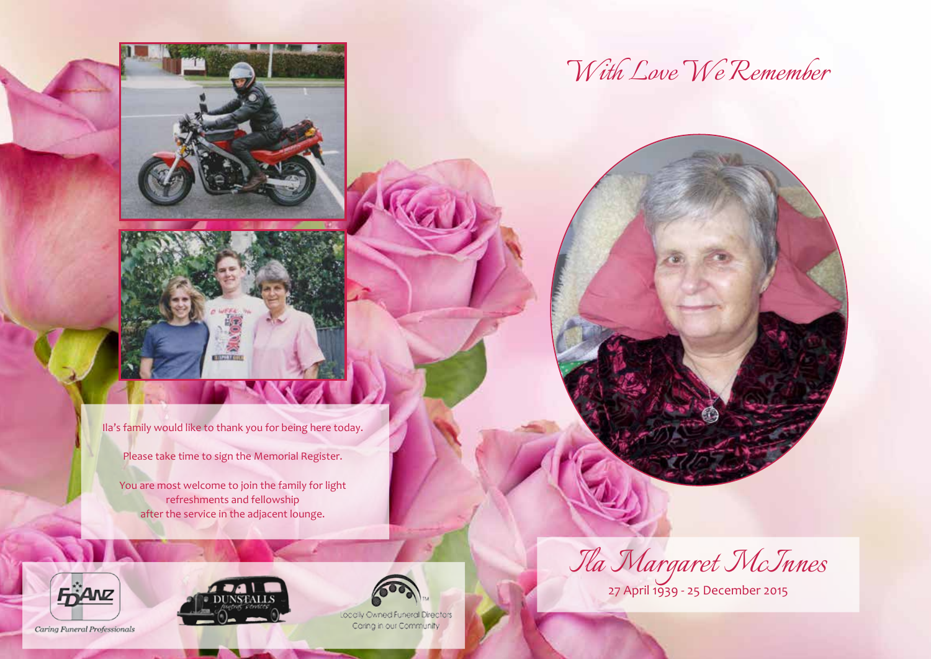



Ila's family would like to thank you for being here today.

Please take time to sign the Memorial Register.

You are most welcome to join the family for light refreshments and fellowship after the service in the adjacent lounge.



*With Love We Remember*

27 April 1939 - 25 December 2015







Locally Owned Funeral Directors Caring in our Community